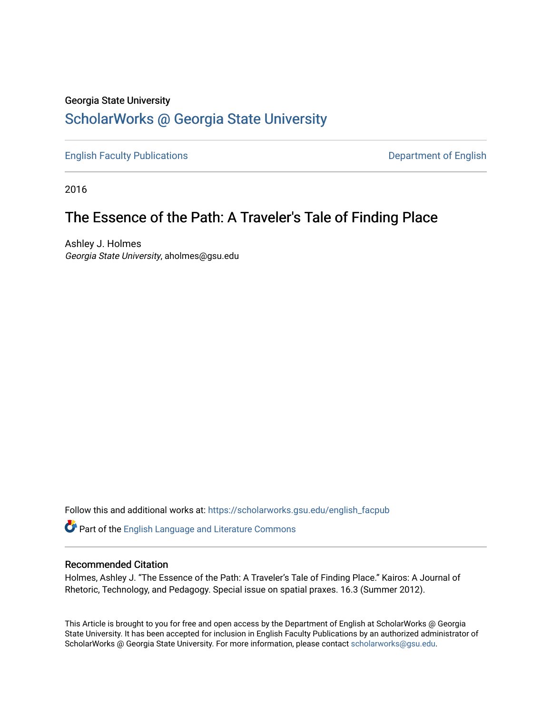#### Georgia State University

# [ScholarWorks @ Georgia State University](https://scholarworks.gsu.edu/)

[English Faculty Publications](https://scholarworks.gsu.edu/english_facpub) **Department of English** 

2016

# The Essence of the Path: A Traveler's Tale of Finding Place

Ashley J. Holmes Georgia State University, aholmes@gsu.edu

Follow this and additional works at: [https://scholarworks.gsu.edu/english\\_facpub](https://scholarworks.gsu.edu/english_facpub?utm_source=scholarworks.gsu.edu%2Fenglish_facpub%2F26&utm_medium=PDF&utm_campaign=PDFCoverPages)

Part of the [English Language and Literature Commons](http://network.bepress.com/hgg/discipline/455?utm_source=scholarworks.gsu.edu%2Fenglish_facpub%2F26&utm_medium=PDF&utm_campaign=PDFCoverPages)

#### Recommended Citation

Holmes, Ashley J. "The Essence of the Path: A Traveler's Tale of Finding Place." Kairos: A Journal of Rhetoric, Technology, and Pedagogy. Special issue on spatial praxes. 16.3 (Summer 2012).

This Article is brought to you for free and open access by the Department of English at ScholarWorks @ Georgia State University. It has been accepted for inclusion in English Faculty Publications by an authorized administrator of ScholarWorks @ Georgia State University. For more information, please contact [scholarworks@gsu.edu](mailto:scholarworks@gsu.edu).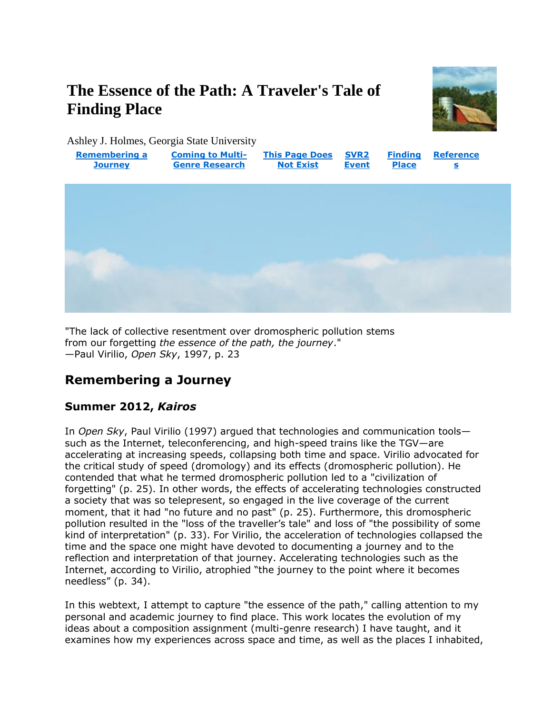# **The Essence of the Path: A Traveler's Tale of Finding Place**



Ashley J. Holmes, Georgia State University



"The lack of collective resentment over dromospheric pollution stems from our forgetting *the essence of the path, the journey*." —Paul Virilio, *Open Sky*, 1997, p. 23

### **Remembering a Journey**

### **Summer 2012,** *Kairos*

In *Open Sky*, Paul Virilio (1997) argued that technologies and communication tools such as the Internet, teleconferencing, and high-speed trains like the TGV—are accelerating at increasing speeds, collapsing both time and space. Virilio advocated for the critical study of speed (dromology) and its effects (dromospheric pollution). He contended that what he termed dromospheric pollution led to a "civilization of forgetting" (p. 25). In other words, the effects of accelerating technologies constructed a society that was so telepresent, so engaged in the live coverage of the current moment, that it had "no future and no past" (p. 25). Furthermore, this dromospheric pollution resulted in the "loss of the traveller's tale" and loss of "the possibility of some kind of interpretation" (p. 33). For Virilio, the acceleration of technologies collapsed the time and the space one might have devoted to documenting a journey and to the reflection and interpretation of that journey. Accelerating technologies such as the Internet, according to Virilio, atrophied "the journey to the point where it becomes needless" (p. 34).

In this webtext, I attempt to capture "the essence of the path," calling attention to my personal and academic journey to find place. This work locates the evolution of my ideas about a composition assignment (multi-genre research) I have taught, and it examines how my experiences across space and time, as well as the places I inhabited,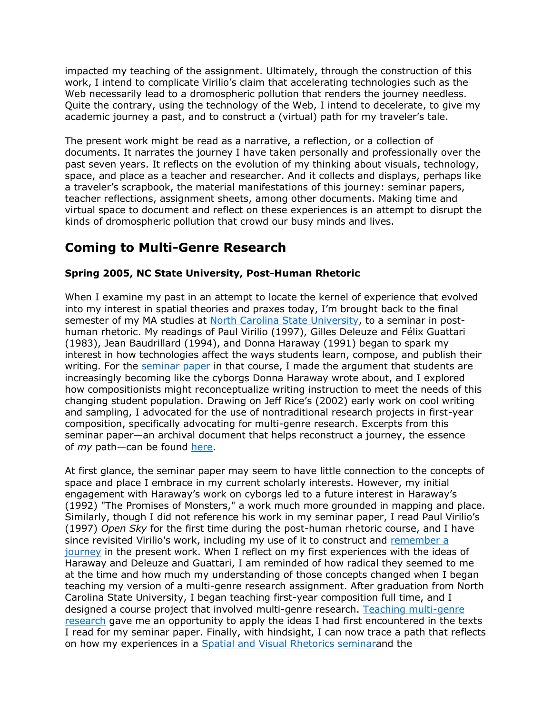impacted my teaching of the assignment. Ultimately, through the construction of this work, I intend to complicate Virilio's claim that accelerating technologies such as the Web necessarily lead to a dromospheric pollution that renders the journey needless. Quite the contrary, using the technology of the Web, I intend to decelerate, to give my academic journey a past, and to construct a (virtual) path for my traveler's tale.

The present work might be read as a narrative, a reflection, or a collection of documents. It narrates the journey I have taken personally and professionally over the past seven years. It reflects on the evolution of my thinking about visuals, technology, space, and place as a teacher and researcher. And it collects and displays, perhaps like a traveler's scrapbook, the material manifestations of this journey: seminar papers, teacher reflections, assignment sheets, among other documents. Making time and virtual space to document and reflect on these experiences is an attempt to disrupt the kinds of dromospheric pollution that crowd our busy minds and lives.

# **Coming to Multi-Genre Research**

### **Spring 2005, NC State University, Post-Human Rhetoric**

When I examine my past in an attempt to locate the kernel of experience that evolved into my interest in spatial theories and praxes today, I'm brought back to the final semester of my MA studies at [North Carolina State University,](http://www.ncsu.edu/) to a seminar in posthuman rhetoric. My readings of Paul Virilio (1997), Gilles Deleuze and Félix Guattari (1983), Jean Baudrillard (1994), and Donna Haraway (1991) began to spark my interest in how technologies affect the ways students learn, compose, and publish their writing. For the [seminar paper](http://kairos.technorhetoric.net/16.3/praxis/hea-et-al/holmes/seminarpaper.html) in that course, I made the argument that students are increasingly becoming like the cyborgs Donna Haraway wrote about, and I explored how compositionists might reconceptualize writing instruction to meet the needs of this changing student population. Drawing on Jeff Rice's (2002) early work on cool writing and sampling, I advocated for the use of nontraditional research projects in first-year composition, specifically advocating for multi-genre research. Excerpts from this seminar paper—an archival document that helps reconstruct a journey, the essence of *my* path—can be found [here.](http://kairos.technorhetoric.net/16.3/praxis/hea-et-al/holmes/seminarpaper.html)

At first glance, the seminar paper may seem to have little connection to the concepts of space and place I embrace in my current scholarly interests. However, my initial engagement with Haraway's work on cyborgs led to a future interest in Haraway's (1992) "The Promises of Monsters," a work much more grounded in mapping and place. Similarly, though I did not reference his work in my seminar paper, I read Paul Virilio's (1997) *Open Sky* for the first time during the post-human rhetoric course, and I have since revisited Virilio's work, including my use of it to construct and [remember a](http://kairos.technorhetoric.net/16.3/praxis/hea-et-al/holmes/remembering.html)  [journey](http://kairos.technorhetoric.net/16.3/praxis/hea-et-al/holmes/remembering.html) in the present work. When I reflect on my first experiences with the ideas of Haraway and Deleuze and Guattari, I am reminded of how radical they seemed to me at the time and how much my understanding of those concepts changed when I began teaching my version of a multi-genre research assignment. After graduation from North Carolina State University, I began teaching first-year composition full time, and I designed a course project that involved multi-genre research. [Teaching multi-genre](http://kairos.technorhetoric.net/16.3/praxis/hea-et-al/holmes/thispagedoesnotexist.html)  [research](http://kairos.technorhetoric.net/16.3/praxis/hea-et-al/holmes/thispagedoesnotexist.html) gave me an opportunity to apply the ideas I had first encountered in the texts I read for my seminar paper. Finally, with hindsight, I can now trace a path that reflects on how my experiences in a [Spatial and Visual Rhetorics seminara](http://www.u.arizona.edu/~kimmehea/svr/696.htm)nd the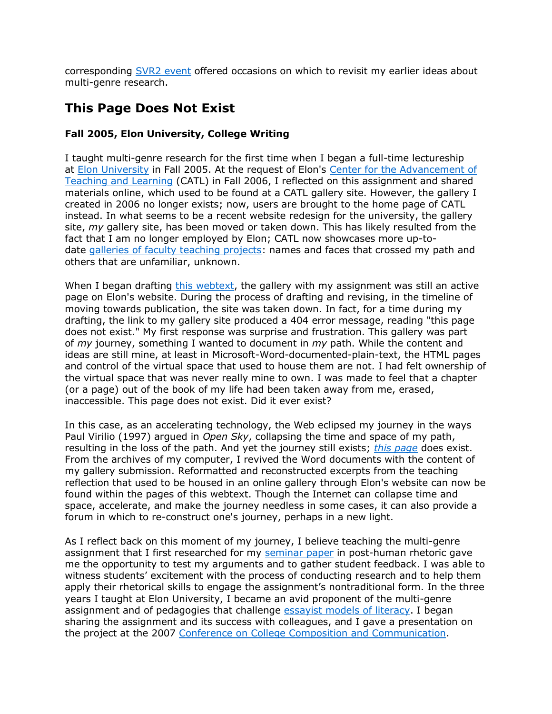corresponding [SVR2 event](http://kairos.technorhetoric.net/16.3/praxis/hea-et-al/holmes/svr2event.html) offered occasions on which to revisit my earlier ideas about multi-genre research.

# **This Page Does Not Exist**

### **Fall 2005, Elon University, College Writing**

I taught multi-genre research for the first time when I began a full-time lectureship at [Elon University](http://www.elon.edu/home/) in Fall 2005. At the request of Elon's [Center for the Advancement of](http://www.elon.edu/e-web/academics/teaching/catlHome.xhtml)  [Teaching and Learning](http://www.elon.edu/e-web/academics/teaching/catlHome.xhtml) (CATL) in Fall 2006, I reflected on this assignment and shared materials online, which used to be found at a CATL gallery site. However, the gallery I created in 2006 no longer exists; now, users are brought to the home page of CATL instead. In what seems to be a recent website redesign for the university, the gallery site, *my* gallery site, has been moved or taken down. This has likely resulted from the fact that I am no longer employed by Elon; CATL now showcases more up-todate [galleries of faculty teaching projects:](http://www.elon.edu/e-web/academics/teaching/aboutGalleries.xhtml) names and faces that crossed my path and others that are unfamiliar, unknown.

When I began drafting [this webtext,](http://kairos.technorhetoric.net/16.3/praxis/hea-et-al/holmes/index.html) the gallery with my assignment was still an active page on Elon's website. During the process of drafting and revising, in the timeline of moving towards publication, the site was taken down. In fact, for a time during my drafting, the link to my gallery site produced a 404 error message, reading "this page does not exist." My first response was surprise and frustration. This gallery was part of *my* journey, something I wanted to document in *my* path. While the content and ideas are still mine, at least in Microsoft-Word-documented-plain-text, the HTML pages and control of the virtual space that used to house them are not. I had felt ownership of the virtual space that was never really mine to own. I was made to feel that a chapter (or a page) out of the book of my life had been taken away from me, erased, inaccessible. This page does not exist. Did it ever exist?

In this case, as an accelerating technology, the Web eclipsed my journey in the ways Paul Virilio (1997) argued in *Open Sky*, collapsing the time and space of my path, resulting in the loss of the path. And yet the journey still exists; *[this page](http://kairos.technorhetoric.net/16.3/praxis/hea-et-al/holmes/galleryreflection.html)* does exist. From the archives of my computer, I revived the Word documents with the content of my gallery submission. Reformatted and reconstructed excerpts from the teaching reflection that used to be housed in an online gallery through Elon's website can now be found within the pages of this webtext. Though the Internet can collapse time and space, accelerate, and make the journey needless in some cases, it can also provide a forum in which to re-construct one's journey, perhaps in a new light.

As I reflect back on this moment of my journey, I believe teaching the multi-genre assignment that I first researched for my [seminar paper](http://kairos.technorhetoric.net/16.3/praxis/hea-et-al/holmes/seminarpaper.html) in post-human rhetoric gave me the opportunity to test my arguments and to gather student feedback. I was able to witness students' excitement with the process of conducting research and to help them apply their rhetorical skills to engage the assignment's nontraditional form. In the three years I taught at Elon University, I became an avid proponent of the multi-genre assignment and of pedagogies that challenge [essayist models of literacy.](http://kairos.technorhetoric.net/16.3/praxis/hea-et-al/juarez/essayistliteracy.html) I began sharing the assignment and its success with colleagues, and I gave a presentation on the project at the 2007 [Conference on College Composition and Communication.](http://www.ncte.org/cccc)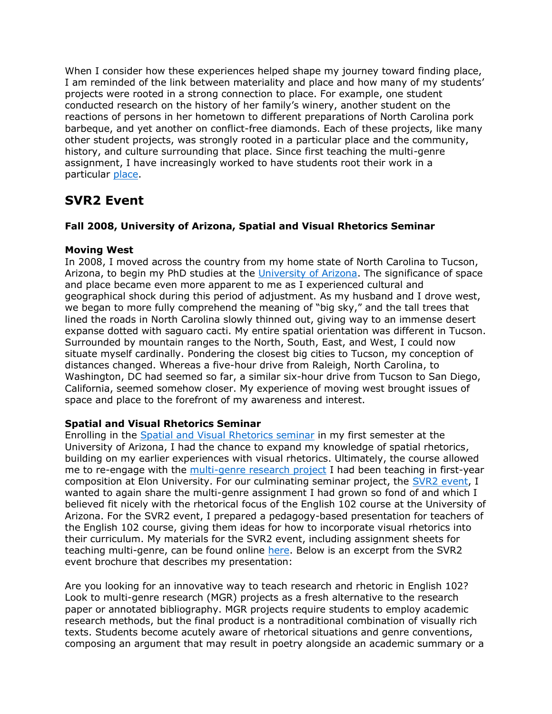When I consider how these experiences helped shape my journey toward finding place, I am reminded of the link between materiality and place and how many of my students' projects were rooted in a strong connection to place. For example, one student conducted research on the history of her family's winery, another student on the reactions of persons in her hometown to different preparations of North Carolina pork barbeque, and yet another on conflict-free diamonds. Each of these projects, like many other student projects, was strongly rooted in a particular place and the community, history, and culture surrounding that place. Since first teaching the multi-genre assignment, I have increasingly worked to have students root their work in a particular [place.](http://kairos.technorhetoric.net/16.3/praxis/hea-et-al/holmes/finding_place.html)

### **SVR2 Event**

#### **Fall 2008, University of Arizona, Spatial and Visual Rhetorics Seminar**

#### **Moving West**

In 2008, I moved across the country from my home state of North Carolina to Tucson, Arizona, to begin my PhD studies at the [University of Arizona.](http://www.arizona.edu/) The significance of space and place became even more apparent to me as I experienced cultural and geographical shock during this period of adjustment. As my husband and I drove west, we began to more fully comprehend the meaning of "big sky," and the tall trees that lined the roads in North Carolina slowly thinned out, giving way to an immense desert expanse dotted with saguaro cacti. My entire spatial orientation was different in Tucson. Surrounded by mountain ranges to the North, South, East, and West, I could now situate myself cardinally. Pondering the closest big cities to Tucson, my conception of distances changed. Whereas a five-hour drive from Raleigh, North Carolina, to Washington, DC had seemed so far, a similar six-hour drive from Tucson to San Diego, California, seemed somehow closer. My experience of moving west brought issues of space and place to the forefront of my awareness and interest.

#### **Spatial and Visual Rhetorics Seminar**

Enrolling in the [Spatial and Visual Rhetorics seminar](http://www.u.arizona.edu/~kimmehea/svr/696.htm) in my first semester at the University of Arizona, I had the chance to expand my knowledge of spatial rhetorics, building on my earlier experiences with visual rhetorics. Ultimately, the course allowed me to re-engage with the [multi-genre research project](http://kairos.technorhetoric.net/16.3/praxis/hea-et-al/holmes/thispagedoesnotexist.html) I had been teaching in first-year composition at Elon University. For our culminating seminar project, the [SVR2 event,](http://www.u.arizona.edu/~kimmehea/svr/event.htm) I wanted to again share the multi-genre assignment I had grown so fond of and which I believed fit nicely with the rhetorical focus of the English 102 course at the University of Arizona. For the SVR2 event, I prepared a pedagogy-based presentation for teachers of the English 102 course, giving them ideas for how to incorporate visual rhetorics into their curriculum. My materials for the SVR2 event, including assignment sheets for teaching multi-genre, can be found online [here.](http://www.u.arizona.edu/~kimmehea/svr/mgr_holmes.pdf) Below is an excerpt from the SVR2 event brochure that describes my presentation:

Are you looking for an innovative way to teach research and rhetoric in English 102? Look to multi-genre research (MGR) projects as a fresh alternative to the research paper or annotated bibliography. MGR projects require students to employ academic research methods, but the final product is a nontraditional combination of visually rich texts. Students become acutely aware of rhetorical situations and genre conventions, composing an argument that may result in poetry alongside an academic summary or a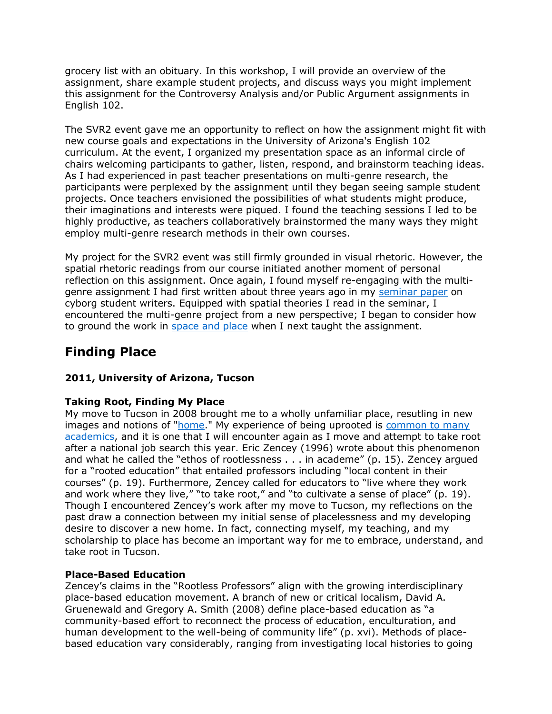grocery list with an obituary. In this workshop, I will provide an overview of the assignment, share example student projects, and discuss ways you might implement this assignment for the Controversy Analysis and/or Public Argument assignments in English 102.

The SVR2 event gave me an opportunity to reflect on how the assignment might fit with new course goals and expectations in the University of Arizona's English 102 curriculum. At the event, I organized my presentation space as an informal circle of chairs welcoming participants to gather, listen, respond, and brainstorm teaching ideas. As I had experienced in past teacher presentations on multi-genre research, the participants were perplexed by the assignment until they began seeing sample student projects. Once teachers envisioned the possibilities of what students might produce, their imaginations and interests were piqued. I found the teaching sessions I led to be highly productive, as teachers collaboratively brainstormed the many ways they might employ multi-genre research methods in their own courses.

My project for the SVR2 event was still firmly grounded in visual rhetoric. However, the spatial rhetoric readings from our course initiated another moment of personal reflection on this assignment. Once again, I found myself re-engaging with the multigenre assignment I had first written about three years ago in my [seminar paper](http://kairos.technorhetoric.net/16.3/praxis/hea-et-al/holmes/seminarpaper.html) on cyborg student writers. Equipped with spatial theories I read in the seminar, I encountered the multi-genre project from a new perspective; I began to consider how to ground the work in [space and place](http://kairos.technorhetoric.net/16.3/praxis/hea-et-al/holmes/finding_place.html) when I next taught the assignment.

# **Finding Place**

### **2011, University of Arizona, Tucson**

### **Taking Root, Finding My Place**

My move to Tucson in 2008 brought me to a wholly unfamiliar place, resutling in new images and notions of ["home.](http://kairos.technorhetoric.net/16.3/praxis/hea-et-al/holmes/index.html)" My experience of being uprooted is [common to many](http://kairos.technorhetoric.net/16.3/praxis/hea-et-al/martin/index.html)  [academics,](http://kairos.technorhetoric.net/16.3/praxis/hea-et-al/martin/index.html) and it is one that I will encounter again as I move and attempt to take root after a national job search this year. Eric Zencey (1996) wrote about this phenomenon and what he called the "ethos of rootlessness . . . in academe" (p. 15). Zencey argued for a "rooted education" that entailed professors including "local content in their courses" (p. 19). Furthermore, Zencey called for educators to "live where they work and work where they live," "to take root," and "to cultivate a sense of place" (p. 19). Though I encountered Zencey's work after my move to Tucson, my reflections on the past draw a connection between my initial sense of placelessness and my developing desire to discover a new home. In fact, connecting myself, my teaching, and my scholarship to place has become an important way for me to embrace, understand, and take root in Tucson.

### **Place-Based Education**

Zencey's claims in the "Rootless Professors" align with the growing interdisciplinary place-based education movement. A branch of new or critical localism, David A. Gruenewald and Gregory A. Smith (2008) define place-based education as "a community-based effort to reconnect the process of education, enculturation, and human development to the well-being of community life" (p. xvi). Methods of placebased education vary considerably, ranging from investigating local histories to going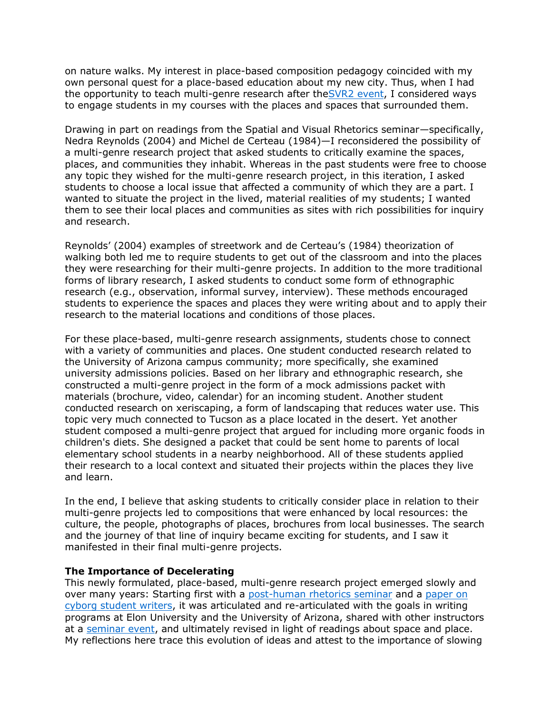on nature walks. My interest in place-based composition pedagogy coincided with my own personal quest for a place-based education about my new city. Thus, when I had the opportunity to teach multi-genre research after th[eSVR2 event,](http://kairos.technorhetoric.net/16.3/praxis/hea-et-al/holmes/svr2event.html) I considered ways to engage students in my courses with the places and spaces that surrounded them.

Drawing in part on readings from the Spatial and Visual Rhetorics seminar—specifically, Nedra Reynolds (2004) and Michel de Certeau (1984)—I reconsidered the possibility of a multi-genre research project that asked students to critically examine the spaces, places, and communities they inhabit. Whereas in the past students were free to choose any topic they wished for the multi-genre research project, in this iteration, I asked students to choose a local issue that affected a community of which they are a part. I wanted to situate the project in the lived, material realities of my students; I wanted them to see their local places and communities as sites with rich possibilities for inquiry and research.

Reynolds' (2004) examples of streetwork and de Certeau's (1984) theorization of walking both led me to require students to get out of the classroom and into the places they were researching for their multi-genre projects. In addition to the more traditional forms of library research, I asked students to conduct some form of ethnographic research (e.g., observation, informal survey, interview). These methods encouraged students to experience the spaces and places they were writing about and to apply their research to the material locations and conditions of those places.

For these place-based, multi-genre research assignments, students chose to connect with a variety of communities and places. One student conducted research related to the University of Arizona campus community; more specifically, she examined university admissions policies. Based on her library and ethnographic research, she constructed a multi-genre project in the form of a mock admissions packet with materials (brochure, video, calendar) for an incoming student. Another student conducted research on xeriscaping, a form of landscaping that reduces water use. This topic very much connected to Tucson as a place located in the desert. Yet another student composed a multi-genre project that argued for including more organic foods in children's diets. She designed a packet that could be sent home to parents of local elementary school students in a nearby neighborhood. All of these students applied their research to a local context and situated their projects within the places they live and learn.

In the end, I believe that asking students to critically consider place in relation to their multi-genre projects led to compositions that were enhanced by local resources: the culture, the people, photographs of places, brochures from local businesses. The search and the journey of that line of inquiry became exciting for students, and I saw it manifested in their final multi-genre projects.

#### **The Importance of Decelerating**

This newly formulated, place-based, multi-genre research project emerged slowly and over many years: Starting first with a [post-human rhetorics seminar](http://kairos.technorhetoric.net/16.3/praxis/hea-et-al/holmes/multigenre.html) and a [paper on](http://kairos.technorhetoric.net/16.3/praxis/hea-et-al/holmes/seminarpaper.html)  [cyborg student writers,](http://kairos.technorhetoric.net/16.3/praxis/hea-et-al/holmes/seminarpaper.html) it was articulated and re-articulated with the goals in writing programs at Elon University and the University of Arizona, shared with other instructors at a [seminar event,](http://kairos.technorhetoric.net/16.3/praxis/hea-et-al/holmes/svr2event.html) and ultimately revised in light of readings about space and place. My reflections here trace this evolution of ideas and attest to the importance of slowing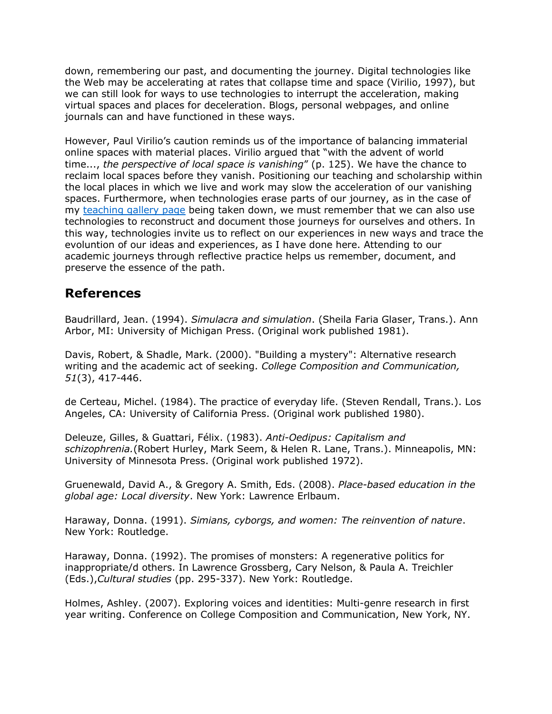down, remembering our past, and documenting the journey. Digital technologies like the Web may be accelerating at rates that collapse time and space (Virilio, 1997), but we can still look for ways to use technologies to interrupt the acceleration, making virtual spaces and places for deceleration. Blogs, personal webpages, and online journals can and have functioned in these ways.

However, Paul Virilio's caution reminds us of the importance of balancing immaterial online spaces with material places. Virilio argued that "with the advent of world time..., *the perspective of local space is vanishing*" (p. 125). We have the chance to reclaim local spaces before they vanish. Positioning our teaching and scholarship within the local places in which we live and work may slow the acceleration of our vanishing spaces. Furthermore, when technologies erase parts of our journey, as in the case of my [teaching gallery page](http://kairos.technorhetoric.net/16.3/praxis/hea-et-al/holmes/galleryreflection.html) being taken down, we must remember that we can also use technologies to reconstruct and document those journeys for ourselves and others. In this way, technologies invite us to reflect on our experiences in new ways and trace the evoluntion of our ideas and experiences, as I have done here. Attending to our academic journeys through reflective practice helps us remember, document, and preserve the essence of the path.

### **References**

Baudrillard, Jean. (1994). *Simulacra and simulation*. (Sheila Faria Glaser, Trans.). Ann Arbor, MI: University of Michigan Press. (Original work published 1981).

Davis, Robert, & Shadle, Mark. (2000). "Building a mystery": Alternative research writing and the academic act of seeking. *College Composition and Communication, 51*(3), 417-446.

de Certeau, Michel. (1984). The practice of everyday life. (Steven Rendall, Trans.). Los Angeles, CA: University of California Press. (Original work published 1980).

Deleuze, Gilles, & Guattari, Félix. (1983). *Anti-Oedipus: Capitalism and schizophrenia.*(Robert Hurley, Mark Seem, & Helen R. Lane, Trans.). Minneapolis, MN: University of Minnesota Press. (Original work published 1972).

Gruenewald, David A., & Gregory A. Smith, Eds. (2008). *Place-based education in the global age: Local diversity*. New York: Lawrence Erlbaum.

Haraway, Donna. (1991). *Simians, cyborgs, and women: The reinvention of nature*. New York: Routledge.

Haraway, Donna. (1992). The promises of monsters: A regenerative politics for inappropriate/d others. In Lawrence Grossberg, Cary Nelson, & Paula A. Treichler (Eds.),*Cultural studies* (pp. 295-337). New York: Routledge.

Holmes, Ashley. (2007). Exploring voices and identities: Multi-genre research in first year writing. Conference on College Composition and Communication, New York, NY.